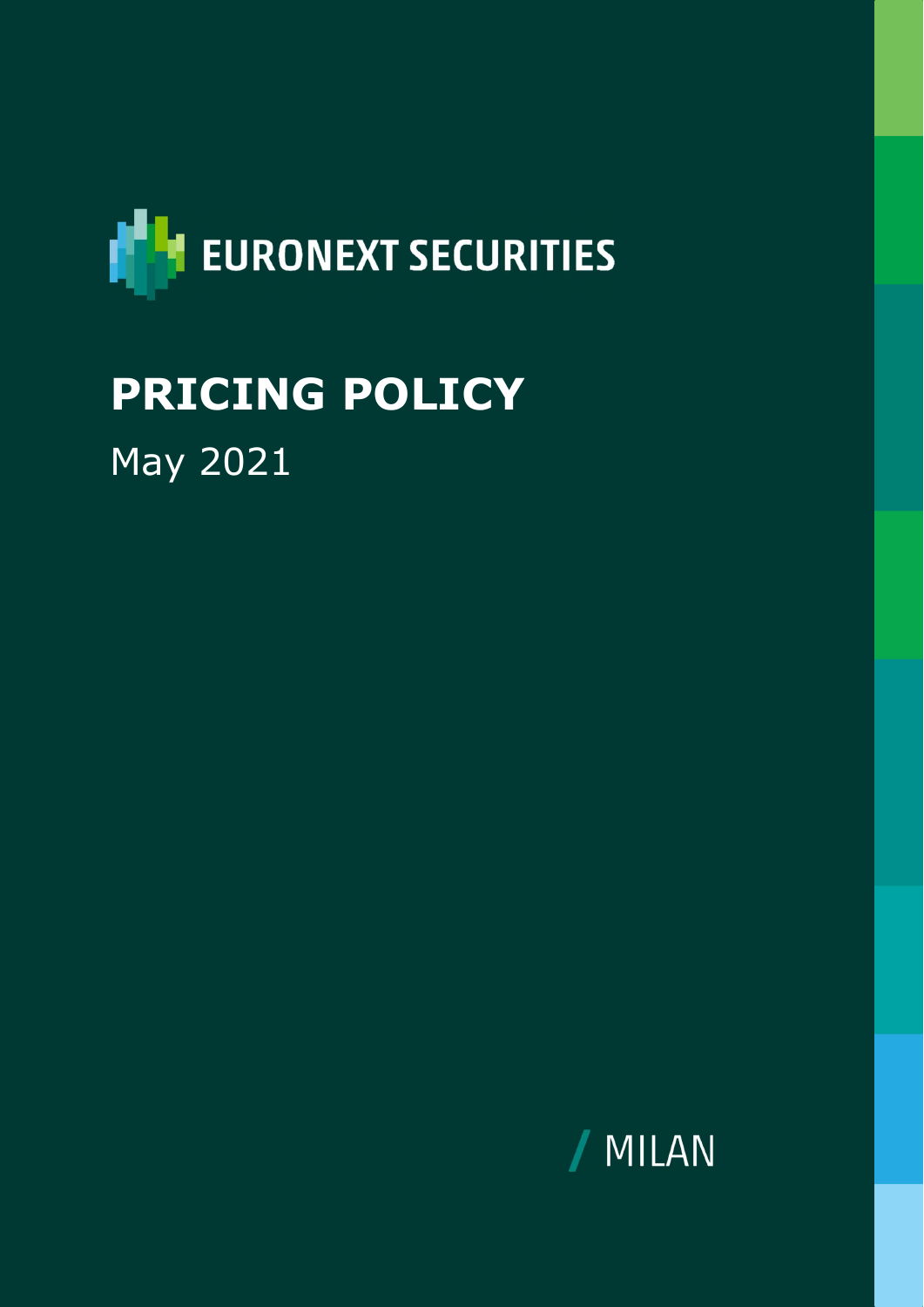

# PRICING POLICY May 2021

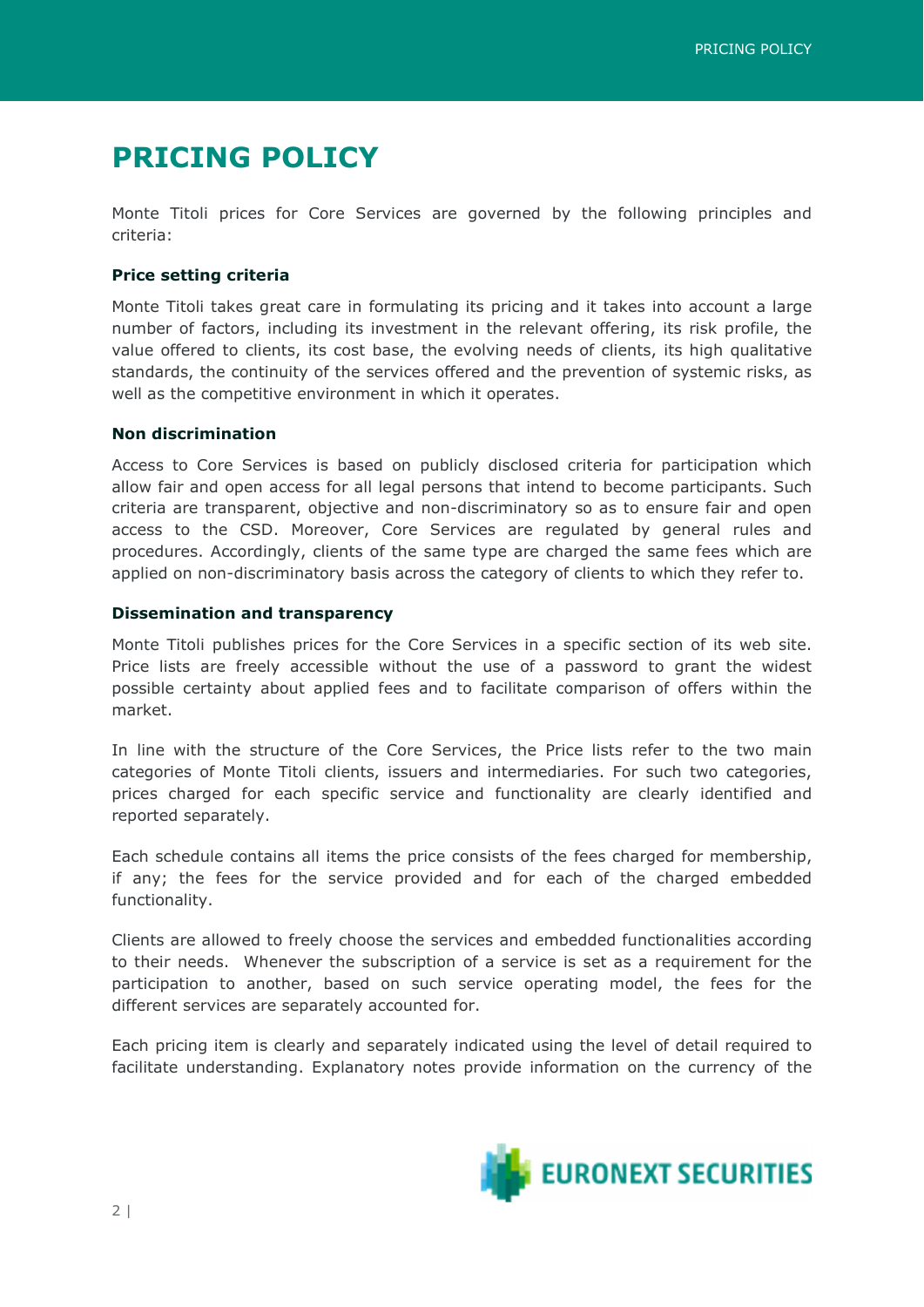# PRICING POLICY

Monte Titoli prices for Core Services are governed by the following principles and criteria:

# Price setting criteria

Monte Titoli takes great care in formulating its pricing and it takes into account a large number of factors, including its investment in the relevant offering, its risk profile, the value offered to clients, its cost base, the evolving needs of clients, its high qualitative standards, the continuity of the services offered and the prevention of systemic risks, as well as the competitive environment in which it operates.

### Non discrimination

Access to Core Services is based on publicly disclosed criteria for participation which allow fair and open access for all legal persons that intend to become participants. Such criteria are transparent, objective and non-discriminatory so as to ensure fair and open access to the CSD. Moreover, Core Services are regulated by general rules and procedures. Accordingly, clients of the same type are charged the same fees which are applied on non-discriminatory basis across the category of clients to which they refer to.

## Dissemination and transparency

Monte Titoli publishes prices for the Core Services in a specific section of its web site. Price lists are freely accessible without the use of a password to grant the widest possible certainty about applied fees and to facilitate comparison of offers within the market.

In line with the structure of the Core Services, the Price lists refer to the two main categories of Monte Titoli clients, issuers and intermediaries. For such two categories, prices charged for each specific service and functionality are clearly identified and reported separately.

Each schedule contains all items the price consists of the fees charged for membership, if any; the fees for the service provided and for each of the charged embedded functionality.

Clients are allowed to freely choose the services and embedded functionalities according to their needs. Whenever the subscription of a service is set as a requirement for the participation to another, based on such service operating model, the fees for the different services are separately accounted for.

Each pricing item is clearly and separately indicated using the level of detail required to facilitate understanding. Explanatory notes provide information on the currency of the

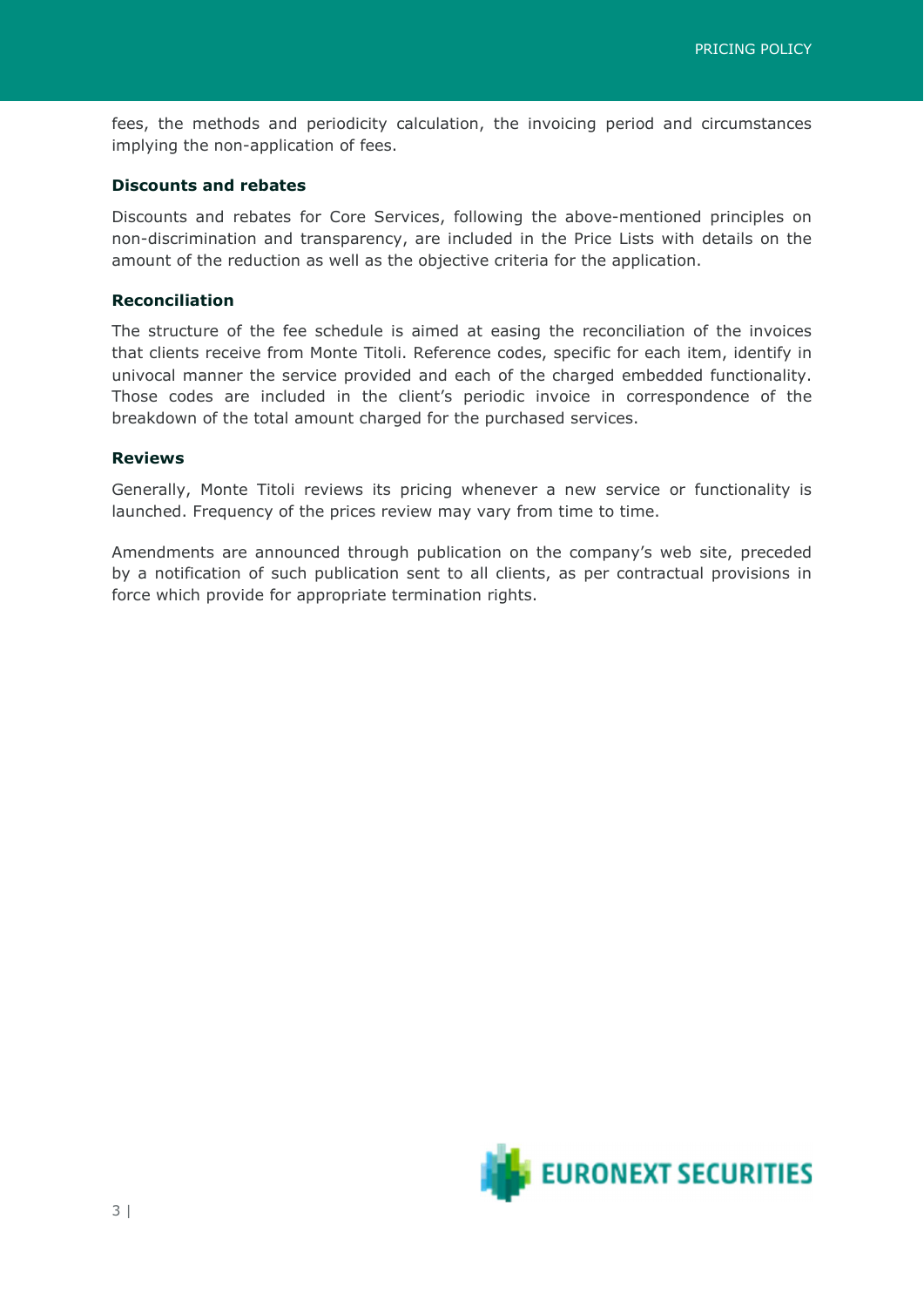fees, the methods and periodicity calculation, the invoicing period and circumstances implying the non-application of fees.

#### Discounts and rebates

Discounts and rebates for Core Services, following the above-mentioned principles on non-discrimination and transparency, are included in the Price Lists with details on the amount of the reduction as well as the objective criteria for the application.

#### Reconciliation

The structure of the fee schedule is aimed at easing the reconciliation of the invoices that clients receive from Monte Titoli. Reference codes, specific for each item, identify in univocal manner the service provided and each of the charged embedded functionality. Those codes are included in the client's periodic invoice in correspondence of the breakdown of the total amount charged for the purchased services.

#### Reviews

Generally, Monte Titoli reviews its pricing whenever a new service or functionality is launched. Frequency of the prices review may vary from time to time.

Amendments are announced through publication on the company's web site, preceded by a notification of such publication sent to all clients, as per contractual provisions in force which provide for appropriate termination rights.